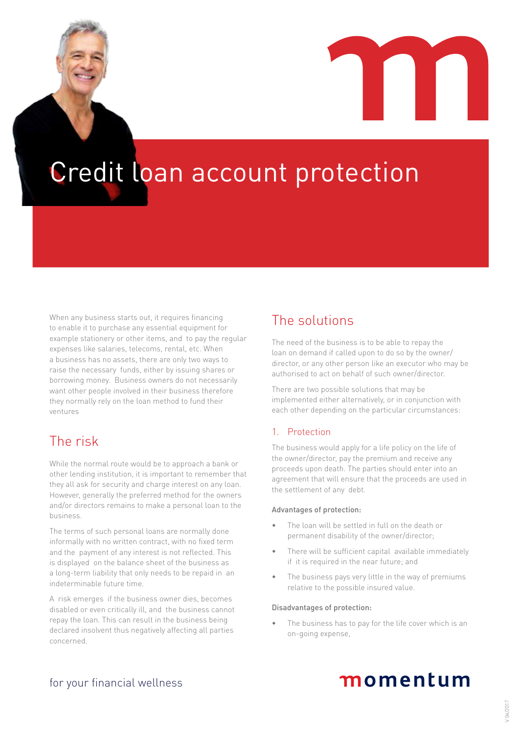Credit loan account protection

When any business starts out, it requires financing to enable it to purchase any essential equipment for example stationery or other items, and to pay the regular expenses like salaries, telecoms, rental, etc. When a business has no assets, there are only two ways to raise the necessary funds, either by issuing shares or borrowing money. Business owners do not necessarily want other people involved in their business therefore they normally rely on the loan method to fund their ventures

## The risk

While the normal route would be to approach a bank or other lending institution, it is important to remember that they all ask for security and charge interest on any loan. However, generally the preferred method for the owners and/or directors remains to make a personal loan to the business.

The terms of such personal loans are normally done informally with no written contract, with no fixed term and the payment of any interest is not reflected. This is displayed on the balance sheet of the business as a long-term liability that only needs to be repaid in an indeterminable future time.

A risk emerges if the business owner dies, becomes disabled or even critically ill, and the business cannot repay the loan. This can result in the business being declared insolvent thus negatively affecting all parties concerned.

## The solutions

The need of the business is to be able to repay the loan on demand if called upon to do so by the owner/ director, or any other person like an executor who may be authorised to act on behalf of such owner/director.

There are two possible solutions that may be implemented either alternatively, or in conjunction with each other depending on the particular circumstances:

### 1. Protection

The business would apply for a life policy on the life of the owner/director, pay the premium and receive any proceeds upon death. The parties should enter into an agreement that will ensure that the proceeds are used in the settlement of any debt.

### Advantages of protection:

- The loan will be settled in full on the death or permanent disability of the owner/director;
- There will be sufficient capital available immediately if it is required in the near future; and
- The business pays very little in the way of premiums relative to the possible insured value.

### Disadvantages of protection:

The business has to pay for the life cover which is an on-going expense,

# momentum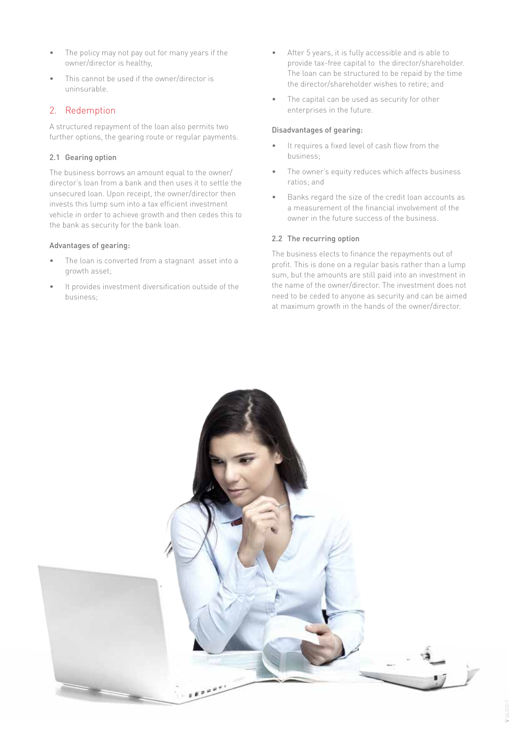- The policy may not pay out for many years if the owner/director is healthy,
- This cannot be used if the owner/director is uninsurable.

### 2. Redemption

A structured repayment of the loan also permits two further options, the gearing route or regular payments.

### 2.1 Gearing option

The business borrows an amount equal to the owner/ director's loan from a bank and then uses it to settle the unsecured loan. Upon receipt, the owner/director then invests this lump sum into a tax efficient investment vehicle in order to achieve growth and then cedes this to the bank as security for the bank loan.

### Advantages of gearing:

- The loan is converted from a stagnant asset into a growth asset;
- It provides investment diversification outside of the business;
- After 5 years, it is fully accessible and is able to provide tax-free capital to the director/shareholder. The loan can be structured to be repaid by the time the director/shareholder wishes to retire; and
- The capital can be used as security for other enterprises in the future.

### Disadvantages of gearing:

- It requires a fixed level of cash flow from the business;
- The owner's equity reduces which affects business ratios; and
- Banks regard the size of the credit loan accounts as a measurement of the financial involvement of the owner in the future success of the business.

### 2.2 The recurring option

The business elects to finance the repayments out of profit. This is done on a regular basis rather than a lump sum, but the amounts are still paid into an investment in the name of the owner/director. The investment does not need to be ceded to anyone as security and can be aimed at maximum growth in the hands of the owner/director.